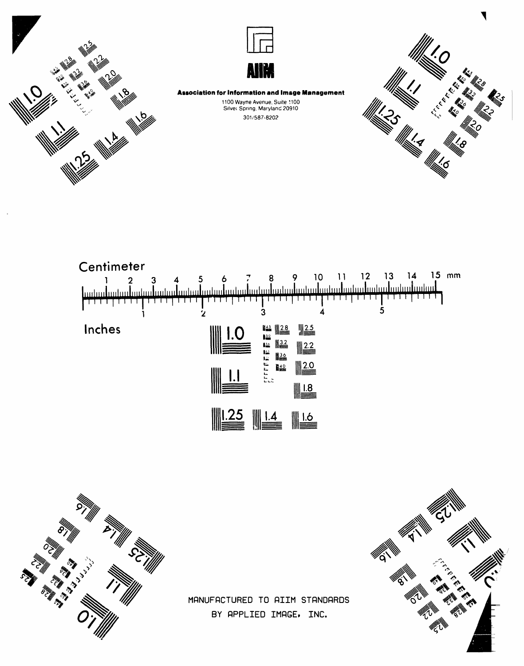





**Association for Information and Image Management** 1100 Wayne Avenue, Suite 1100<br>Silver Spring, Maryland 20910









MANUFACTURED TO AIIM STANDARDS BY APPLIED IMAGE, INC.



٦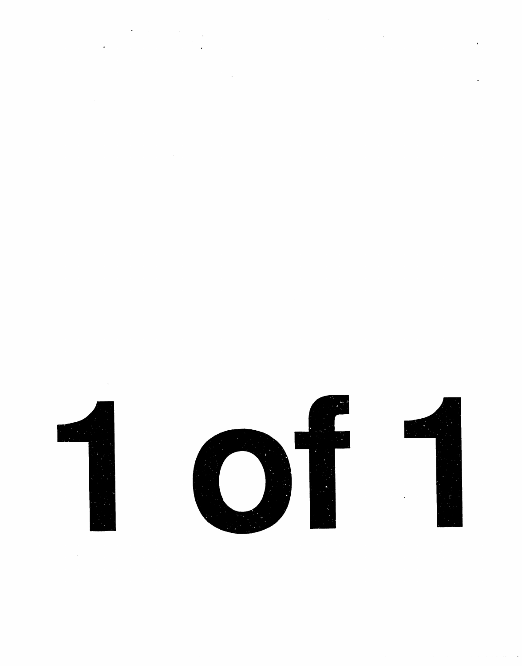$\label{eq:2.1} \frac{1}{\sqrt{2}}\int_{\mathbb{R}^3}\frac{1}{\sqrt{2}}\left(\frac{1}{\sqrt{2}}\right)^2\frac{1}{\sqrt{2}}\left(\frac{1}{\sqrt{2}}\right)^2\frac{1}{\sqrt{2}}\left(\frac{1}{\sqrt{2}}\right)^2\frac{1}{\sqrt{2}}\left(\frac{1}{\sqrt{2}}\right)^2\frac{1}{\sqrt{2}}\left(\frac{1}{\sqrt{2}}\right)^2\frac{1}{\sqrt{2}}\frac{1}{\sqrt{2}}\frac{1}{\sqrt{2}}\frac{1}{\sqrt{2}}\frac{1}{\sqrt{2}}\frac{1}{\sqrt{2}}$ 



 $\label{eq:2.1} \frac{1}{\sqrt{2}}\int_{0}^{\infty}\frac{1}{\sqrt{2\pi}}\left(\frac{1}{\sqrt{2\pi}}\right)^{2}d\mu\left(\frac{1}{\sqrt{2\pi}}\right)\frac{d\mu}{d\mu}d\mu\left(\frac{1}{\sqrt{2\pi}}\right).$ 

 $\alpha$  , and the second space  $\beta$  ,  $\sigma$ 

 $\Delta \sim 10^{11}$  m  $^{-1}$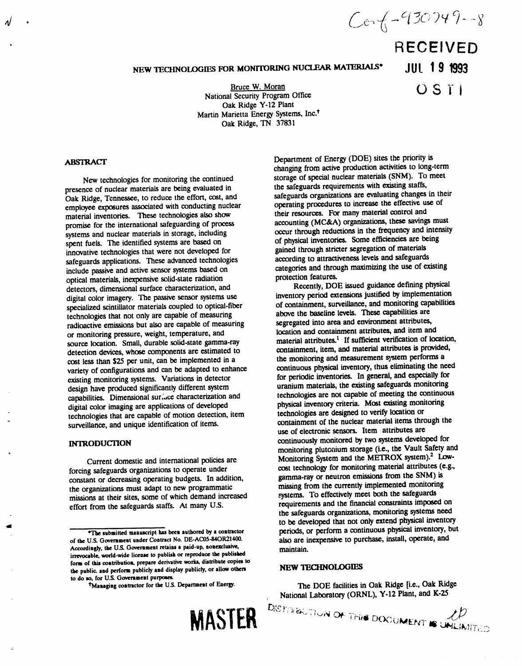$Cerf - 930749 - 8$ 

RECEIVED

**JUI 19 1993** 

OSTI

# NEW TECHNOLOGIES FOR MONITORING NUCLEAR MATERIALS\*

Bruce W. Moran National Security Program Office Oak Ridge Y-12 Plant Martin Marietta Energy Systems, Inc.<sup>†</sup> Oak Ridge, TN 37831

### **ABSTRACT**

New technologies for monitoring the continued presence of nuclear materials are being evaluated in Oak Ridge, Tennessee, to reduce the effort, cost, and employee exposures associated with conducting nuclear material inventories. These technologies also show promise for the international safeguarding of process systems and nuclear materials in storage, including spent fuels. The identified systems are based on innovative technologies that were not developed for safeguards applications. These advanced technologies include passive and active sensor systems based on optical materials, inexpensive solid-state radiation detectors, dimensional surface characterization, and digital color imagery. The passive sensor systems use specialized scintillator materials coupled to optical-fiber technologies that not only are capable of measuring radioactive emissions but also are capable of measuring or monitoring pressure, weight, temperature, and source location. Small, durable solid-state gamma-ray detection devices, whose components are estimated to cost less than \$25 per unit, can be implemented in a variety of configurations and can be adapted to enhance existing monitoring systems. Variations in detector design have produced significantly different system capabilities. Dimensional surface characterization and digital color imaging are applications of developed technologies that are capable of motion detection, item surveillance, and unique identification of items.

### **INTRODUCTION**

Current domestic and international policies are forcing safeguards organizations to operate under constant or decreasing operating budgets. In addition, the organizations must adapt to new programmatic missions at their sites, some of which demand increased effort from the safeguards staffs. At many U.S.

**MASTER** 

Department of Energy (DOE) sites the priority is changing from active production activities to long-term storage of special nuclear materials (SNM). To meet the safeguards requirements with existing staffs, safeguards organizations are evaluating changes in their operating procedures to increase the effective use of their resources. For many material control and accounting (MC&A) organizations, these savings must occur through reductions in the frequency and intensity of physical inventories. Some efficiencies are being gained through stricter segregation of materials according to attractiveness levels and safeguards categories and through maximizing the use of existing protection features.

Recently, DOE issued guidance defining physical inventory period extensions justified by implementation of containment, surveillance, and monitoring capabilities above the baseline levels. These capabilities are segregated into area and environment attributes, location and containment attributes, and item and material attributes.<sup>1</sup> If sufficient verification of location, containment, item, and material attributes is provided, the monitoring and measurement system performs a continuous physical inventory, thus eliminating the need for periodic inventories. In general, and especially for uranium materials, the existing safeguards monitoring technologies are not capable of meeting the continuous physical inventory criteria. Most existing monitoring technologies are designed to verify location or containment of the nuclear material items through the use of electronic sensors. Item attributes are continuously monitored by two systems developed for monitoring plutonium storage (i.e., the Vault Safety and Monitoring System and the METROX system).<sup>2</sup> Lowcost technology for monitoring material attributes (e.g., gamma-ray or neutron emissions from the SNM) is missing from the currently implemented monitoring systems. To effectively meet both the safeguards requirements and the financial constraints imposed on the safeguards organizations, monitoring systems need to be developed that not only extend physical inventory periods, or perform a continuous physical inventory, but also are inexpensive to purchase, install, operate, and maintain.

### **NEW TECHNOLOGIES**

The DOE facilities in Oak Ridge [i.e., Oak Ridge National Laboratory (ORNL), Y-12 Plant, and K-25

**DISTINGUITION OF THIS DOCUMENT IS UNLIMITED** 

<sup>&</sup>quot;The submitted manuscript has been authored by a contractor of the U.S. Government under Contract No. DE-AC05-84OR21400. Accordingly, the U.S. Government retains a paid-up, nonexclusive, irrevocable, world-wide license to publish or reproduce the published form of this contribution, prepare derivative works, distribute copies to the public. and perform publicly and display publicly, or allow others to do so, for U.S. Government purposes

TManaging contractor for the U.S. Department of Energy.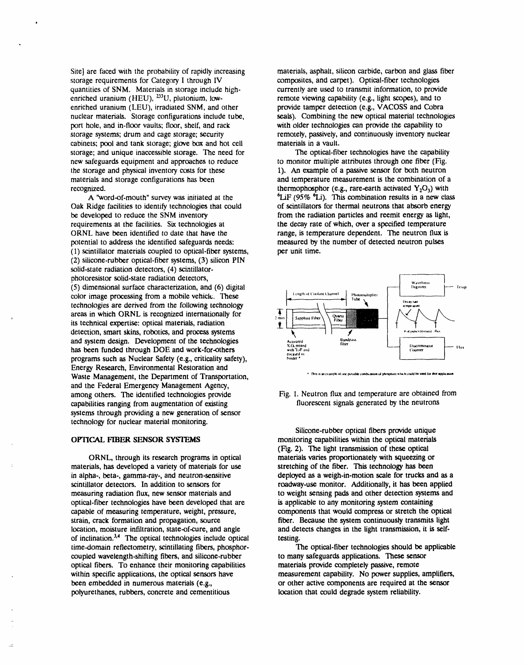Site] are faced with the probability of rapidly increasing materials, asphalt, silicon carbide, carbon and glass fiber storage requirements for Category I through IV composites, and carpet). Optical-fiber technologies storage requirements for Category I through IV quantities of SNM. Materials in storage include highenriched uranium (HEU), <sup>233</sup>U, plutonium, low-<br>enriched uranium (LEU), irradiated SNM, and other provide tamper detection (e.g., VACOSS and Cobra enriched uranium (LEU), irradiated SNM, and other nuclear materials. Storage configurations include tube, port hole, and in-floor vaults; floor, shelf, and rack with older technologies can provide the capability to storage systems; drum and cage storage; security remotely, passively, and continuously inventory nucle cabinets; pool and tank storage; glove box and hot cell materials in a vault.<br>
storage; and unique inaccessible storage. The need for The optical-fiber technologies have the capability storage; and unique inaccessible storage. The need for new safeguards equipment and approaches to reduce new safeguards equipment and approaches to reduce to monitor multiple attributes through one fiber (Fig. the storage and physical inventory costs for these 1). An example of a passive sensor for both neutron the storage and physical inventory costs for these **1**). An example of a passive sensor for both neutron materials and storage configurations has been and temperature measurement is the combination of materials and storage configurations has been and temperature measurement is the combination of a<br>recognized.<br>thermophosphor (e.g., rare-earth activated Y<sub>2</sub>O<sub>3</sub>) with

Oak Ridge facilities to identify technologies that could be developed to reduce the SNM inventory be developed to reduce the SNM inventory from the radiation particles and reemit energy as light, requirements at the facilities. Six technologies at the decay rate of which, over a specified temperature requirements at the facilities. Six technologies at the decay rate of which, over a specified temperature ORNL have been identified to date that have the range, is temperature dependent. The neutron flux is ORNL have been identified to date that have the range, is temperature dependent. The neutron flux is potential to address the identified safeguards needs:<br>
measured by the number of detected neutron pulses (1) scintillator materials coupled to optical-fiber systems, (2) silicone-rubber optical-fiber systems, (3) silicon PIN solid-state radiation detectors, (4) scintillator-<br>photoresistor solid-state radiation detectors, color image processing from a mobile vehicle. These areas in which ORNL is recognized internationally for  $\frac{1}{2 \text{ min}}$   $\frac{1}{\frac{1}{2} \text{ min}}$  $i$  its technical expertise: optical materials, radiation detection, smart skins, robotics, and process systems<br>and system design. Development of the technologies<br>has been funded through DOE and work-for-others with Life and<br>interval the system of the system of the system of the and system design. Development of the technologies has been funded through DOE and work-for-others has been funded through DOE and work-for-others<br>programs such as Nuclear Safety (e.g., criticality safety), Energy Research, Environmental Restoration and Waste Management, t**h**e Department of Transpo*rt*ation, an**d** the Federal Emergency Management Agency, among others. The identified technologies provide Fig. 1. Neutron flux and temperature are obtained from capabilities ranging from augmentation of existing function fluorescent signals generated by the neutrons capabilities ranging from augmentation of existing systems through providing a new generation of sensor technology for nuclear material monitoring.

materials, has developed a variety of materials for use<br>in alpha-, beta-, gamma-ray-, and neutron-sensitive in **al**p**ha**., beta-**,** g**amm**a-**r**ay-, **a**nd **n**eutro**n-***s*ensitive dep**l**oyed **a**s **a** weigh-in-motion scale **fo**r trucks **a**n**d** as **a** scintillator detectors. In addition to sensors for roadway-use monitor. Additionally, it has been applied<br>measuring radiation flux, new sensor materials and to weight sensing pads and other detection systems and optical-fiber tech**no**logies ha**ve** bee**n** dev**e**lope**d** t**h**at are is **a**pplica**b**le to a**n**y mo**n**itoring syst**e**m containing capable of measuring temperature, weight, pressure, strain, crack formation and propagation, source strain, crack formation and propagation, source fiber. Because the system continuously transmits light location, moisture infiltration, state-of-cure, and angle and detects changes in the light transmission, it is selfof inclination.3'4 The optical technologies include optical te*s*ting. time-domain reflectometry, scintillating fibers, phosphor-<br>coupled wavelength-shifting fibers, and silicone-rubber to many safeguards applications. These sensor coupled wavelength-shifting fibers, and silicone-rubber to many safeguards applications. These sens optical fibers. To enhance their monitoring capabilities materials provide completely passive, remote optical fibers. To enhance their monitoring capabilities within specific applications, the optical sensors have polyurethanes, rubbers, concrete and cementitious

currently are used to transmit information, to provide remote viewing capability (e.g., light scopes), and to nuclear materials. Storage configurations include tube, seals). Combining the new optical material technologies port hole, and in-floor vaults; floor, shelf, and rack with older technologies can provide the capability to remotely, passively, and continuously inventory nuclear materials in a vault.

recognized, thermophosphor (e.g., rare.c.arth activated Y*z*O**3**) with <sup>6</sup>LiF (95% <sup>6</sup>Li). This combination results in a new class of scintillators for thermal neutrons that absorb energy measured by the number of detected neutron pulses per unit time.





**S**ili**c**one-rubbe**r o**pt**i**cal **fib**ers **pr**ovide uniq**u**e OPTICAL FIBER SENSOR SYSTEMS **monitoring capabilities** within the optical materials (Fi**g**. 2). The lig**h**t tran*s*mission o**f** these optical ORNL, through its research programs in optical **materials varies proportionately with squeezing or** rials, has developed a variety of materials for use **stretching** of the fiber. This technology has been to weight sensing pads and other detection systems and<br>is applicable to any monitoring system containing and detects changes in the light transmission, it is self-testing.

within specific applications, the optical sensors have measurement capability. No power supplies, amplifiers, been embedded in numerous materials (e.g., or other active components are required at the sensor be or other active components are required at the sensor location that could degrade system reliability.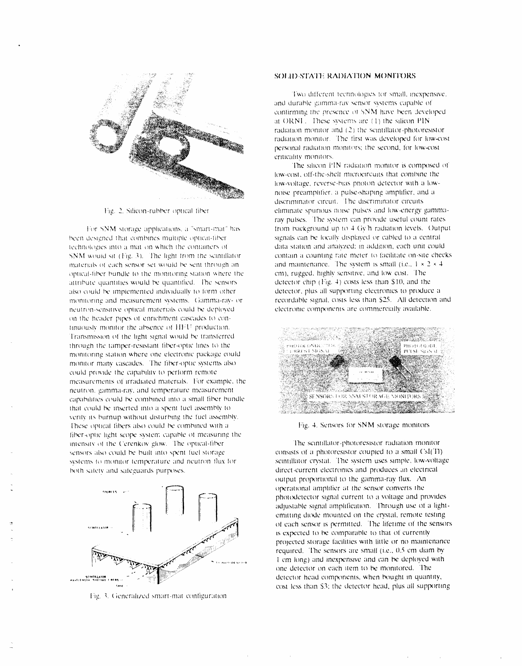

Fig. 2. Silicon-rubber optical fiber

For SNM storage applications, a "smart-mat" has been designed that combines multiple optical-fiber technologies into a mat on which the containers of SNM would sit (Fig. 3). The light from the scinuliator materials of each sensor set would be sent through an optical-fiber bundle to the monitoring station where the attribute quantities would be quantified. The sensors also could be implemented individually to form other monitoring and measurement systems. Gamma-ray- or neutron-sensitive optical materials could be deployed on the header pipes of enrichment cascades to continuously monitor the absence of HFU production. Transmission of the light signal would be transferred through the tamper-resistant fiber-optic lines to the monitoring station where one electronic package could monitor many cascades. The fiber-optic systems also could provide the capability to perform remote measurements of irradiated materials. For example, the neutron, gamma-ray, and temperature measurement. capabilities could be combined into a small fiber bundle that could be inserted into a spent fuel assembly to verify its burnup without disturbing the fuel assembly. These optical fibers also could be combined with a fiber-optic light score system capable of measuring the intensity of the Cerenkov glow. The optical-fiber sensors also could be built into spent fuel storage systems to monitor temperature and neutron flux for both satety and safeguards purposes.



Fig. 3. Generalized smart-mat configuration

## SOLID-STATE RADIATION MONITORS

Two different technologies for small, inexpensive. and durable gamma-ray sensor systems capable of confirming the presence of SNM have been developed at ORNL. These systems are (1) the silicon PIN radiation monitor and  $(2)$  the scintillator-photoresistor radiation monitor. The first was developed for low-cost personal radiation monitors; the second, for low-cost criticality monitors.

The silicon PIN radiation monitor is composed of low-cost, off-the-shelt microcircuits that combine the low-voltage, reverse-bias photon detector with a lownoise preamplifier, a pulse-shaping amplifier, and a discriminator circuit. The discriminator circuits eliminate spurious noise pulses and low-energy gammaray pulses. The system can provide useful count rates from background up to 4 Gy/h radiation levels. Output signals can be locally displayed or cabled to a central data station and analyzed; in addition, each unit could contain a counting rate meter to facilitate on-site checks. and maintenance. The system is small (i.e.,  $1 \times 2 \times 4$ ) cm), rugged, highly sensitive, and low cost. The detector chip  $(Fig. 4)$  costs less than \$10, and the detector, plus all supporting electronics to produce a recordable signal, costs less than \$25. All detection and electronic components are commercially available.



Fig. 4. Sensors for SNM storage monitors

The scintillator-photoresistor radiation monitor consists of a photoresistor coupled to a small CsI(TI) scintillator crystal. The system uses simple, low-voltage direct-current electronics and produces an electrical output proportional to the gamma-ray flux. An operational amplifier at the sensor converts the photodetector signal current to a voltage and provides adjustable signal amplification. Through use of a lightemitting diode mounted on the crystal, remote testing of each sensor is permitted. The lifetime of the sensors is expected to be comparable to that of currently projected storage facilities with little or no maintenance required. The sensors are small (i.e., 0.5 cm diam by I cm long) and inexpensive and can be deployed with one detector on each item to be monitored. The detector head components, when bought in quantity, cost less than \$3; the detector head, plus all supporting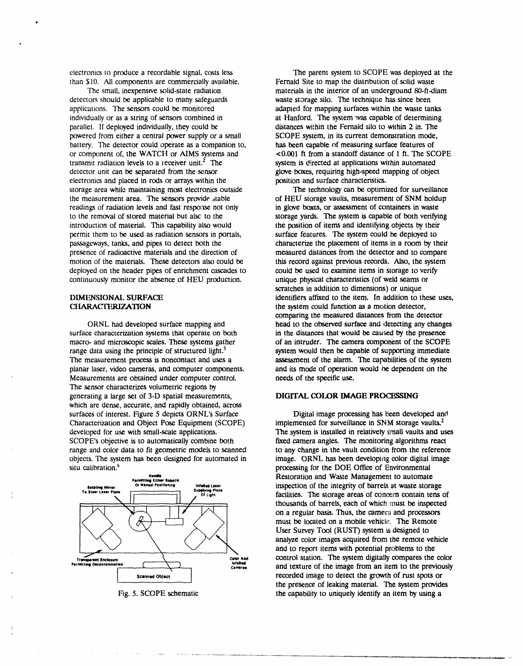than \$10. All components are commercially available.<br>The small, inexpensive solid-state radiation

detectors should be applicable to many safeguards applications. The sensors could be monitored applications. The sensors could be monitored adapted for mapping surfaces within the waste tanks<br>at Hanford. The system was capable of determining<br>individually or as a string of sensors combined in individually or as a string of sensors combined in at Hanford. The system was capable of determining in a string of sensors combined in at Hanford. The system was capable of determining parallel. If deployed individually, powered from either a central power supply or a small SCOPE system, in its current demonstration mode,<br>
battery. The detector could operate as a companion to, has been capable of measuring surface features of battery. The detector could operate as a companion to, has been capable of measuring surface features of or component of, the WATCH or AIMS systems and  $\leq 0.001$  ft from a standoff distance of 1 ft. The SCOPE or component of, the WATCH or AIMS systems and transmit radiation levels to a receiver unit.<sup>2</sup> The transmit radiation levels to a receiver unit.<sup>2</sup> The system is directed at applications within automated detector unit can be separated from the sensor glove boxes, requiring high-speed mapping of objections within automat electronics and placed in rods or arrays within the position and surface characteristics.<br>
storage area while maintaining most electronics outside The technology can be optimized for surveillance storage area while maintaining most electronics outside The technology can be optimized for surveillance<br>the measurement area. The sensors provide stable of HEU storage vaults, measurement of SNM holdup the measurement area. The sensors provide stable of *HEU* storage vaults, measurement of SNM holdine readings of radiation levels and fast response not only in glove boxes, or assessment of containers in waste readings of radiation levels and fast response not only to the removal of stored material but also to the introduction of material. This capability also would permit them to be used as radiation sensors in portals, permit them to be used as radiation sensors in portals, surface features. The system could be deployed to passageways, tanks, and pipes to detect both the characterize the placement of items in a room by the passageways, tanks, and pipes to detect both the characterize the placement of items in a room by their presence of radioactive materials and the direction of measured distances from the detector and to compare motion of the materials. These detectors also could be this record against previous records. Also, the system deployed on the header pipes of enrichment cascades to could be used to examine items in storage to verify deployed on the header pipes of enrichment cascades to could be used to examine items in storage to ver<br>continuously monitor the absence of HEU production. unique physical characteristics (of weld seams or continuously monitor the absence of HEU production.

ORNL had developed surface mapping and head to the observed surface and detecting any changes surface characterization systems that operate on both in the distances that would be caused by the presence surface characterization systems that operate on both **i**n the distances **t**hat would be ca*u*sed by the p**r**e*s*ence macro- and microscopic scales. These systems gather of an intruder. The camera component of the SCOPE range data using the principle of structured light.<sup>5</sup> system would then be capable of supporting immediate range data using the principle of structured light.<sup>5</sup> system would then be capable of supporting immediate<br>The measurement process is noncontact and uses a assessment of the alarm. The capabilities of the system planar laser, video cameras, and computer components. and its mode of operation Measurements are obtained under computer control. and its mode of the specific use. Measurements are obtained under computer control. The sensor characterizes **v**olumetric **r**egions by generating a large set of 3-D spatial m**e**asurements, **D**I**Grr**AL **C**OLO**R I**M**AGE** P**R**OCESS**I**NG which are d**e**ns**e**, accura**te**, and **r**apidl**y** obtain**e**d, ac**r**oss surfaces of interest. Figure 5 depicts ORNL's Surface **Digital image processing has been developed and Characterization and Object Pose Equipment (SCOPE) implemented for surveillance in SNM storage vaults.<sup>2</sup>** Characterization and Object Pose Equipment (SCOPE) developed for use with small-scale applications. SCOPE's objective is to automatically combine both fixed camera angles. The monitoring algorithms react range and color data to fit geometric models to scanned to any change in the vault condition from the reference objects. The system has been designed for automated in situ calibration.<sup>6</sup>



**electronics to produce a recordable signal, costs less** The parent system to SCOPE was deployed at the than \$10. All components are commercially available. Fernald Site to map the distribution of solid waste materials in the interior of an underground 80-ft-diam waste storage silo. The technique has since been distances within the Fernald silo to within 2 in. The SCOPE system, in its current demonstration mode, glove boxes, requiring high-speed mapping of object position and surface characteristics.

storage yards. The system is capable of both verifying the position of items and identifying objects by their measured distances from the detector and to compare<br>this record against previous records. Also, the system scratches in addition to dimensions) or unique DIMENSIONAL SURFACE in the identifiers affixed to the item. In addition to these uses, CIIARA*C*I'ERIZATIO**N** the *s*y**s**tem could fu**n**ction as **a** motion detector, compar**i**ng the measured distances from the detector assessment of the alarm. The capabilities of the system and its mode of operation would be dependent on the

developed for use with small-scale applications. The system is installed in relatively small vaults and uses<br>SCOPE's objective is to automatically combine both fixed camera angles. The monitoring algorithms react to any change in the vault condition from the reference image. ORNL has been developing color digital image processing for the DOE Office of Environmental x**,***,*\_**.** Restoration and Wa*s*te Management to automate **Pe**r**mi**t**ting <sup>E</sup>**l**tk**\_**¢** Iot)**ot**l¢ Inferior disease inspection of the integrity of barrels at waste storage<br>supplying Plane supplying  $\frac{1}{n! \cdot 1 \cdot \ln n!}$  facilities. The storage areas of concern contain tens facilities. The storage areas of concern contain tens of thousands of barrels, each of which must be inspected on a regular ba*s*is. Thus, the came\_**'**;iand processors must be located on a mobile vehicl*e***,** The Remote U*s*er Survey Tool (RUST) system is de*s*igned to analyze color images acquired from the remote vehicle and to report items with potential problems to the **r***,***,,**m**,***,*,\_**,**t*r*,),**,,**, c.\_ **,**\_ control station. The sys**t**em digitally compares **t**he color Cameras and texture of the image from an item to the previously **I** scanned object **i i i i l i o** *recorded image to detect the growth of rust spots or* the presence of leaking material. The system provides Fig. 5. SCOPE schematic the capab**i**lity to uniquely identify an it**e**m by u**si**ng a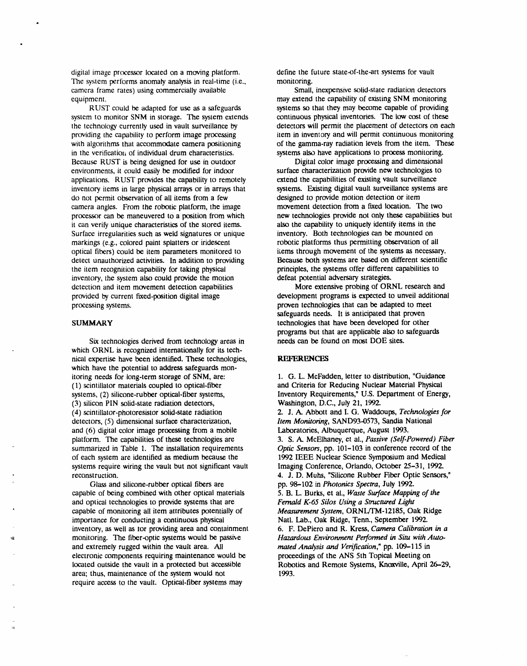*digital image processor located on a moving platform.* define the future state-of-the-art systems for vault The system performs anomaly analysis in real-time (i.e., monitoring. The system performs anomaly analysis in real-time (i.e., monitoring.<br>
camera frame rates) using commercially available **Small**, inexpensive solid-state radiation detectors camera frame rates) using commercially available equipment.

the technology currently used in vault surveillance by detectors will permit the placement of detectors on each providing the capability to perform image processing item in inventory and will permit continuous monitoring providing the capability to perform image processing **i** item in inventory and will permit continuous monitoring with algorithms that accommodate camera positioning of the gamma-ray radiation levels from the item. These with algorithms that accommodate camera positioning of the gamma-ray radiation levels from the item. The item in the verification of individual drum characteristics. in the verification of individual drum characteristics.<br>Because RUST is being designed for use in outdoor<br>Digital color image processing and dimensional Because RUST is being designed for use in outdoor environments, it could easily be modified for indoor environments, it could easily be modified for indoor surface characterization provide new technologies to applications. RUST provides the capability to remotely extend the capabilities of existing vault surveillance inventory items in large physical arrays or in arrays that systems. Existing digital vault surveillance systems do not bermit observation of all items from a few designed to provide motion detection or item do not permit observation of all items from a few designed to provide motion detection or item<br>camera angles. From the robotic platform, the image movement detection from a fixed location. The two camera angles. From the robotic platform, the image movement detection from a fixed location. The two processor can be maneuvered to a position from which new technologies provide not only these capabilities it can verify unique characteristics of the stored items. also the capability to uniquely identify items in the it can verify unique characteristics of the stored items.<br>Surface irregularities such as weld signatures or unique inventory. Both technologies can be mounted on Surface irregularities such as weld signatures or unique inventory. Both technologies can be mounted on markings (e.g., colored paint splatters or iridescent robotic platforms thus permitting observation of all markings (e.g., colored paint splatters or iridescent robotic platforms thus permitting observation of all optical fibers) could be item parameters monitored to items through movement of the systems as necessary. optical fibers) could be item parameters monitored to items through movement of the sy**s**tems as necessary. detect unauthorized activities. In addition to providing **Because both systems are based on different scienti**<br>the item recognition capability for taking physical **principles**, the systems offer different capabilities to the item recognition capability for taking physical principles, the systems offer different inventory, the system also could provide the motion defeat potential adversary strategies. inventory, the system also could provide the motion<br>defeat potential adversary strategies.<br>detection and item movement detection capabilities<br>More extensive probing of ORNL research and detection and item movement detection capabilities More extensive probing of ORNL research and<br>provided by current fixed-position digital image development programs is expected to unveil additional provided by current fixed-position digital image processing systems.

Six technologies derived from technology areas in which ORNL is recognized internationally for its technical e**x**pert**i**se have be**e**n **id**ent**ifi**ed. These techn**o**l**o**gi**e**s, REFEREN**C**ES which have the potential to address safeguards mon-<br>itoring needs for long-term storage of SNM, are: itoring needs for long-term *storage* of SNM, are: 1. G. L. McFadden, letter to distribution, "Guidance (1) scintillator materials coupled to optical-fiber and Criteria for Reducing Nuclear Material Physical (1) scintillator materials coupled to optical-fiber and Criteria for Reducing Nuclear Material Physical systems, (2) silicone-rubber optical-fiber systems, Inventory Requirements,<sup>"</sup> U.S. Department of Energ (3) silicon PIN solid-state radiation detectors, Washington, D.C., July 21, 1992.<br>(4) scintillator-photoresistor solid-state radiation 2. J. A. Abbott and I. G. Waddoups, *Technologies for* (4) scintillator-photoresistor solid-state radiation 2. J. A. Abbott and I. G. Waddoups, *Technologia* detectors, (5) dimensional surface characterization, *Item Monitoring*, SAND93-0573, Sandia National detectors, (5) dimensional surface characterization, *Item Monitoring*, SAND93-0573, Sandia N<br>and (6) digital color image processing from a mobile **Iaboratories**, Albuquerque, August 1993. and (6) digital color image processing from a mobile platform. The capabilities of these technologies are platform. The capabilities of these technologies are 3. S. A. McElhaney, et al., *Passive (Self-Powered) Fiber* summarized in Table 1. The installation requirements Optic Sensors, pp. 101-103 in conference record of the summarized in Table 1. The installation requirements *Optic Sensors*, pp. 101-103 in conference record of the of each system are identified as medium because the 1992 IEEE Nuclear Science Symposium and Medical systems require wiring the vault but not significant vault reconstruction.

capable of being combined with other optical materials 5. B. L. Burks, et al., *Waste Surface Mappin* and optical technologies to provide systems that are *Fernald K-65 Silos Using a Structured Light* and optical technologies to pr*ov*ide systems that are *Fernald K*-6*5 Silos Using a Structured Light "* capable of monitoring all item attributes potentially of *Measurement System*, ORNL/TM-12185, Oak Rimportance for conducting a continuous physical **National** Nati. Lab., Oak Ridge, Tenn., September 1992. importance for conducting a continuous physical Natl. Lab., Oak Ridge, Tenn., September 1992.<br>
inventory, as well as tor providing area and containment 6. F. DePiero and R. Kress, Camera Calibration in a inventory, as well as to**r** providing area and containment 6. F. DePiero and R. Kress, *Came*r*a Calibration* in *a* monitoring. The fiber-optic systems would be passive *Hazardous Environment Performed in Situ with A* and extremely rugged within the vault area. All *mated Analysis and Verification*," pp. 109–115 in and extremely rugged within the vault area. All *mated Analysis and Verification*," pp. 109–115 in electronic components requiring maintenance would be **a** proceedings of the ANS 5th Topical Meeting on electronic components requiring maintenance would be located outside the vault in a protected but accessible area; thus, maintenance of the system would not require access to the vault. Optical-fiber *s*ystem*s* may

may extend the capability of existing SNM monitoring<br>systems so that they may become capable of providing RUST could be adapted for use as a safeguards systems so that they may become capable of providing<br>In to monitor SNM in storage. The system extends continuous physical inventories. The low cost of these system to monitor SNM in storage. The system extends continuous physical inventories. The low cost of these<br>the technology currently used in vault surveillance by detectors will permit the placement of detectors on each

extend the capabilities of existing vault surveillance<br>systems. Existing digital vault surveillance systems are

proven technologies that can be adapted to meet safeguards needs, lt is anticipated that proven SUM**M**AR**Y** tech**n**ologies that **h**ave bee**n** develope**d** for other programs **b**ut that are applicable also to safeguard*s*

Inventory Requirements," U.S. Department of Energy, Washington, D.C., July 21, 1992.

1992 IEEE Nuclear Science Symposium and Medical Imaging Conference, Orlando, October 25-31, 1992. extruction.<br>• 4. J. D. Muhs, "Silicone Rubber Optic Sensors,"<br>• pp. 98–102 in *Photonics Spectra*, July 1992. pp. 98–102 in *Photonics Spectra*, July 1992.<br>5. B. L. Burks, et al., *Waste Surface Mapping of the* Robotics and Remote Systems, Knoxville, April 26-29, 1993.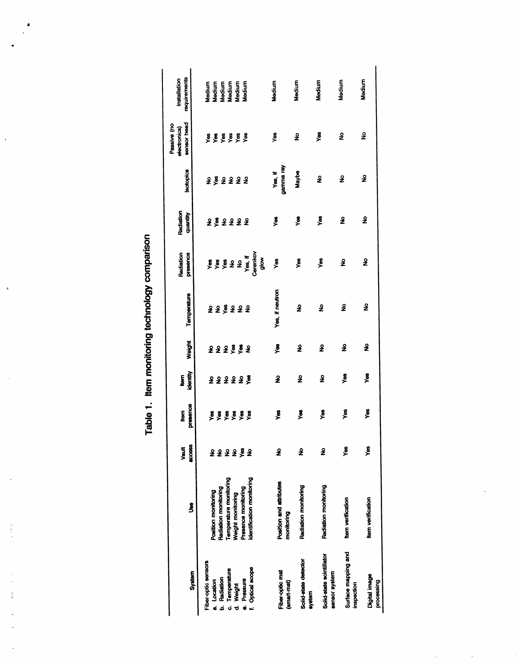| System                                    | 3                                                | 800088<br>Vault    | presence<br>ltern | <b>ttern</b><br>identity | Weight             | Temperature        | Radiation<br>presence                                          | Radiation<br>quantity | <b>Isotopics</b>     | sensor head<br>Passive (no<br>electronics) | requirements<br>Installation |
|-------------------------------------------|--------------------------------------------------|--------------------|-------------------|--------------------------|--------------------|--------------------|----------------------------------------------------------------|-----------------------|----------------------|--------------------------------------------|------------------------------|
| Fiber-optic sensors<br>a. Location        | Position monitoring                              | £                  | 8888888           | 22222                    | <b>FFFFFFF</b>     | 223222             |                                                                | <b>}\${{{\$}}</b>     | 28222                | *******                                    | Medium<br>Medium             |
| b. Radiation                              | Radiation monitoring                             |                    |                   |                          |                    |                    |                                                                |                       |                      |                                            | Medium                       |
| Temperature<br>.<br>ن                     | Temperature monitoring                           |                    |                   |                          |                    |                    |                                                                |                       |                      |                                            | Medium                       |
| Weight                                    | Weight monitoring                                |                    |                   |                          |                    |                    |                                                                |                       |                      |                                            | Medium                       |
| 1 Optical scope<br>Pressure               | Identification monitoring<br>Presence monitoring | 22222              |                   |                          |                    |                    | <b>Asses</b><br>Asses<br>Asses<br>Assessed<br>Coronkov<br>glow |                       |                      |                                            | Medium                       |
| Fiber-optic mat<br>(smart-mat)            | Position and attributes<br>monitoring            | £                  | ≸                 | £                        | ٧œ                 | Yes, if neutron    | Š                                                              | уæ                    | gamma ray<br>Yes, if | yes                                        | Medium                       |
| Solid-state detector<br>metale            | Radiation monitoring                             | $\mathbf{\hat{z}}$ | ≸                 | $\overline{\mathbf{z}}$  | $\hat{\mathbf{z}}$ | $\hat{\mathbf{z}}$ | yes                                                            | ≸                     | Maybe                | $\hat{\mathbf{z}}$                         | Medium                       |
| Solid-state scintillator<br>sensor system | Radiation monitoring                             | £                  | ≸                 | £                        | £                  | $\frac{9}{2}$      | <b>Yes</b>                                                     | yes                   | £                    | Yes                                        | Medium                       |
| Surface mapping and<br>inspection         | <b>Item verification</b>                         | ≸                  | yes               | ≸                        | £                  | £                  | $\hat{\mathbf{z}}$                                             | $\hat{\mathbf{z}}$    | $\frac{9}{2}$        | $\hat{\mathbf{z}}$                         | Medium                       |
| Digital image<br>processing               | <b>tem</b> verification                          | yes<br>Y           | yes<br>Y          | yes                      | $\frac{9}{2}$      | $\hat{\mathbf{z}}$ | $\hat{\mathbf{z}}$                                             | $\frac{9}{2}$         | £                    | $\frac{9}{2}$                              | Medium                       |

Table 1. Item monitoring technology comparison

 $\frac{1}{2}$ 

t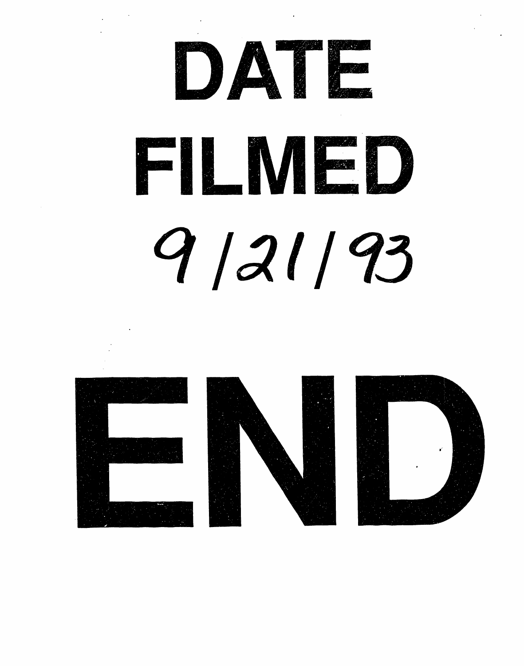